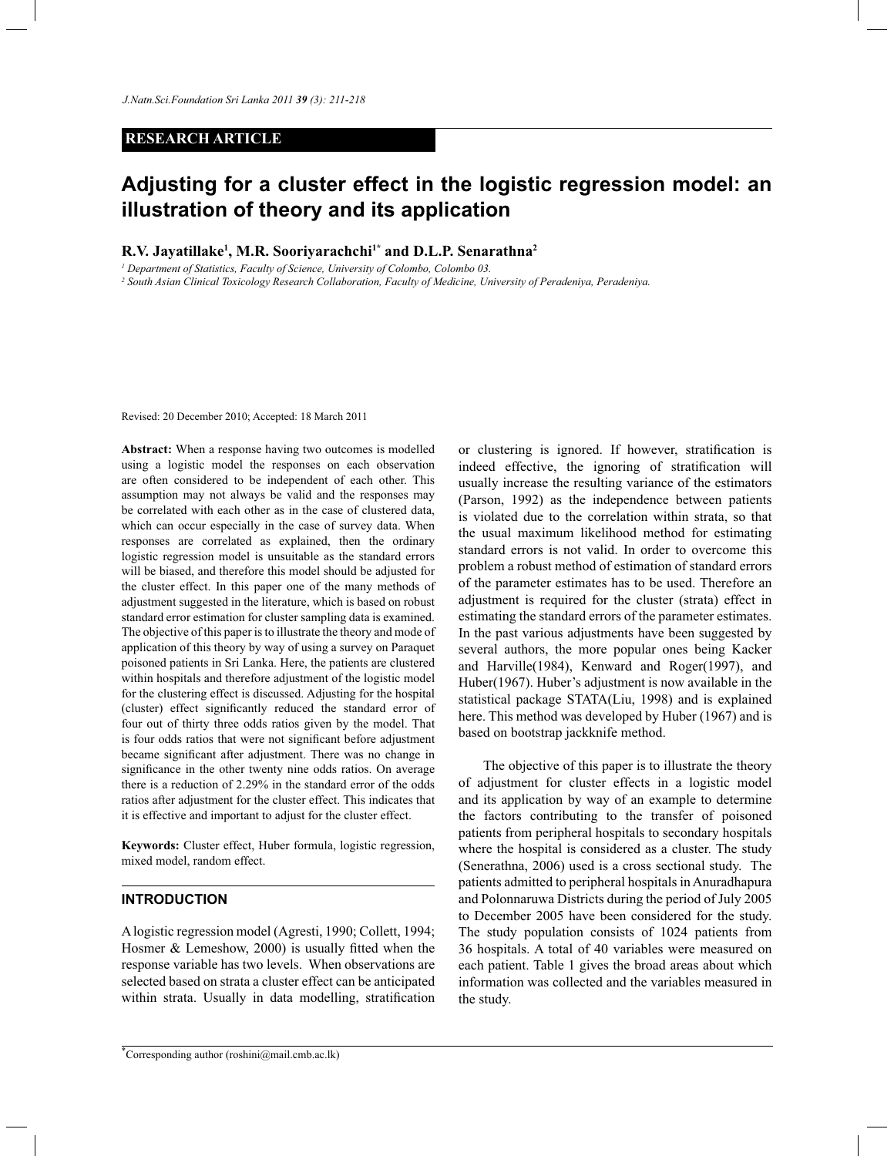# **RESEARCH ARTICLE**

# **Adjusting for a cluster effect in the logistic regression model: an illustration of theory and its application**

# **R.V. Jayatillake<sup>1</sup> , M.R. Sooriyarachchi1\* and D.L.P. Senarathna<sup>2</sup>**

*1 Department of Statistics, Faculty of Science, University of Colombo, Colombo 03.*

*2 South Asian Clinical Toxicology Research Collaboration, Faculty of Medicine, University of Peradeniya, Peradeniya.*

Revised: 20 December 2010; Accepted: 18 March 2011

**Abstract:** When a response having two outcomes is modelled using a logistic model the responses on each observation are often considered to be independent of each other. This assumption may not always be valid and the responses may be correlated with each other as in the case of clustered data, which can occur especially in the case of survey data. When responses are correlated as explained, then the ordinary logistic regression model is unsuitable as the standard errors will be biased, and therefore this model should be adjusted for the cluster effect. In this paper one of the many methods of adjustment suggested in the literature, which is based on robust standard error estimation for cluster sampling data is examined. The objective of this paper is to illustrate the theory and mode of application of this theory by way of using a survey on Paraquet poisoned patients in Sri Lanka. Here, the patients are clustered within hospitals and therefore adjustment of the logistic model for the clustering effect is discussed. Adjusting for the hospital (cluster) effect significantly reduced the standard error of four out of thirty three odds ratios given by the model. That is four odds ratios that were not significant before adjustment became significant after adjustment. There was no change in significance in the other twenty nine odds ratios. On average there is a reduction of 2.29% in the standard error of the odds ratios after adjustment for the cluster effect. This indicates that it is effective and important to adjust for the cluster effect.

**Keywords:** Cluster effect, Huber formula, logistic regression, mixed model, random effect.

# **INTRODUCTION**

A logistic regression model (Agresti, 1990; Collett, 1994; Hosmer & Lemeshow, 2000) is usually fitted when the response variable has two levels. When observations are selected based on strata a cluster effect can be anticipated within strata. Usually in data modelling, stratification or clustering is ignored. If however, stratification is indeed effective, the ignoring of stratification will usually increase the resulting variance of the estimators (Parson, 1992) as the independence between patients is violated due to the correlation within strata, so that the usual maximum likelihood method for estimating standard errors is not valid. In order to overcome this problem a robust method of estimation of standard errors of the parameter estimates has to be used. Therefore an adjustment is required for the cluster (strata) effect in estimating the standard errors of the parameter estimates. In the past various adjustments have been suggested by several authors, the more popular ones being Kacker and Harville(1984), Kenward and Roger(1997), and Huber(1967). Huber's adjustment is now available in the statistical package STATA(Liu, 1998) and is explained here. This method was developed by Huber (1967) and is based on bootstrap jackknife method.

 The objective of this paper is to illustrate the theory of adjustment for cluster effects in a logistic model and its application by way of an example to determine the factors contributing to the transfer of poisoned patients from peripheral hospitals to secondary hospitals where the hospital is considered as a cluster. The study (Senerathna, 2006) used is a cross sectional study. The patients admitted to peripheral hospitals in Anuradhapura and Polonnaruwa Districts during the period of July 2005 to December 2005 have been considered for the study. The study population consists of 1024 patients from 36 hospitals. A total of 40 variables were measured on each patient. Table 1 gives the broad areas about which information was collected and the variables measured in the study.

<sup>\*</sup>Corresponding author (roshini@mail.cmb.ac.lk)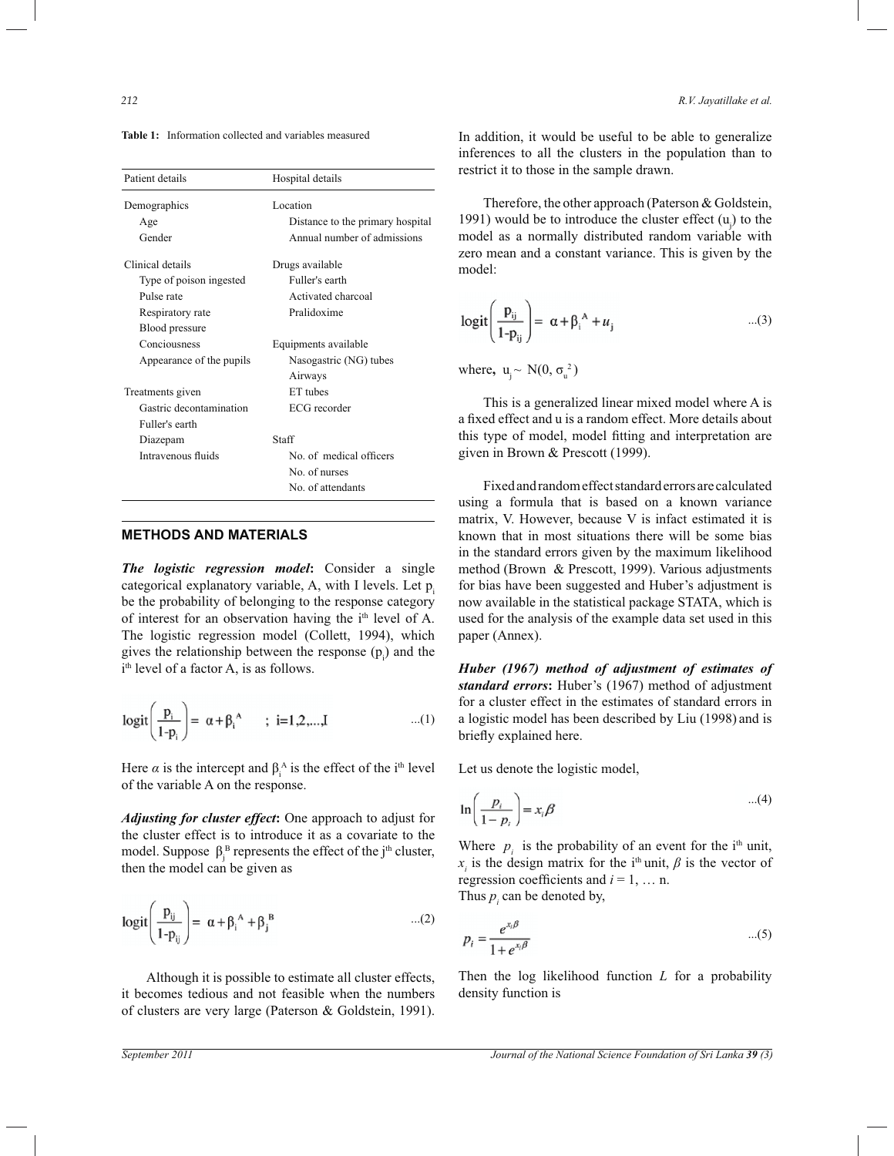| <b>Table 1:</b> Information collected and variables measured |  |
|--------------------------------------------------------------|--|
|--------------------------------------------------------------|--|

| Patient details          | Hospital details                 |
|--------------------------|----------------------------------|
| Demographics             | Location                         |
| Age                      | Distance to the primary hospital |
| Gender                   | Annual number of admissions      |
| Clinical details         | Drugs available                  |
| Type of poison ingested  | Fuller's earth                   |
| Pulse rate               | Activated charcoal               |
| Respiratory rate         | Pralidoxime                      |
| Blood pressure           |                                  |
| Conciousness             | Equipments available             |
| Appearance of the pupils | Nasogastric (NG) tubes           |
|                          | Airways                          |
| Treatments given         | ET tubes                         |
| Gastric decontamination  | ECG recorder                     |
| Fuller's earth           |                                  |
| Diazepam                 | Staff                            |
| Intravenous fluids       | No. of medical officers          |
|                          | No. of nurses                    |
|                          | No of attendants                 |
|                          |                                  |

### **METHODS AND MATERIALS**

*The logistic regression model***:** Consider a single categorical explanatory variable, A, with I levels. Let p. be the probability of belonging to the response category of interest for an observation having the i<sup>th</sup> level of A. The logistic regression model (Collett, 1994), which gives the relationship between the response  $(p_i)$  and the i th level of a factor A, is as follows.

$$
logit\left(\frac{p_i}{1-p_i}\right) = \alpha + \beta_i^A \qquad ; \quad i=1,2,...,I \qquad \qquad ...(1)
$$

Here  $\alpha$  is the intercept and  $\beta_i^A$  is the effect of the i<sup>th</sup> level of the variable A on the response.

*Adjusting for cluster effect***:** One approach to adjust for the cluster effect is to introduce it as a covariate to the model. Suppose  $\beta_j^B$  represents the effect of the j<sup>th</sup> cluster, then the model can be given as

$$
logit\left(\frac{p_{ij}}{1-p_{ij}}\right) = \alpha + \beta_i^A + \beta_j^B
$$
...(2)

 Although it is possible to estimate all cluster effects, it becomes tedious and not feasible when the numbers of clusters are very large (Paterson & Goldstein, 1991).

In addition, it would be useful to be able to generalize inferences to all the clusters in the population than to restrict it to those in the sample drawn.

 Therefore, the other approach (Paterson & Goldstein, 1991) would be to introduce the cluster effect  $(u_j)$  to the model as a normally distributed random variable with zero mean and a constant variance. This is given by the model:

$$
\text{logit}\left(\frac{\mathbf{p}_{ij}}{1-\mathbf{p}_{ij}}\right) = \alpha + \beta_i^A + u_j \qquad \qquad \dots (3)
$$

where,  $u_j \sim N(0, \sigma_u^2)$ 

 This is a generalized linear mixed model where A is a fixed effect and u is a random effect. More details about this type of model, model fitting and interpretation are given in Brown & Prescott (1999).

 Fixed and random effect standard errors are calculated using a formula that is based on a known variance matrix, V. However, because V is infact estimated it is known that in most situations there will be some bias in the standard errors given by the maximum likelihood method (Brown & Prescott, 1999). Various adjustments for bias have been suggested and Huber's adjustment is now available in the statistical package STATA, which is used for the analysis of the example data set used in this paper (Annex).

*Huber (1967) method of adjustment of estimates of standard errors***:** Huber's (1967) method of adjustment for a cluster effect in the estimates of standard errors in a logistic model has been described by Liu (1998) and is briefly explained here.

Let us denote the logistic model,

$$
\ln\left(\frac{p_i}{1-p_i}\right) = x_i \beta \tag{4}
$$

Where  $p_i$  is the probability of an event for the i<sup>th</sup> unit,  $x_i$  is the design matrix for the i<sup>th</sup> unit,  $\beta$  is the vector of regression coefficients and *i* = 1, … n. Thus  $p_i$  can be denoted by,

$$
p_i = \frac{e^{x_i \beta}}{1 + e^{x_i \beta}}
$$
...(5)

Then the log likelihood function *L* for a probability density function is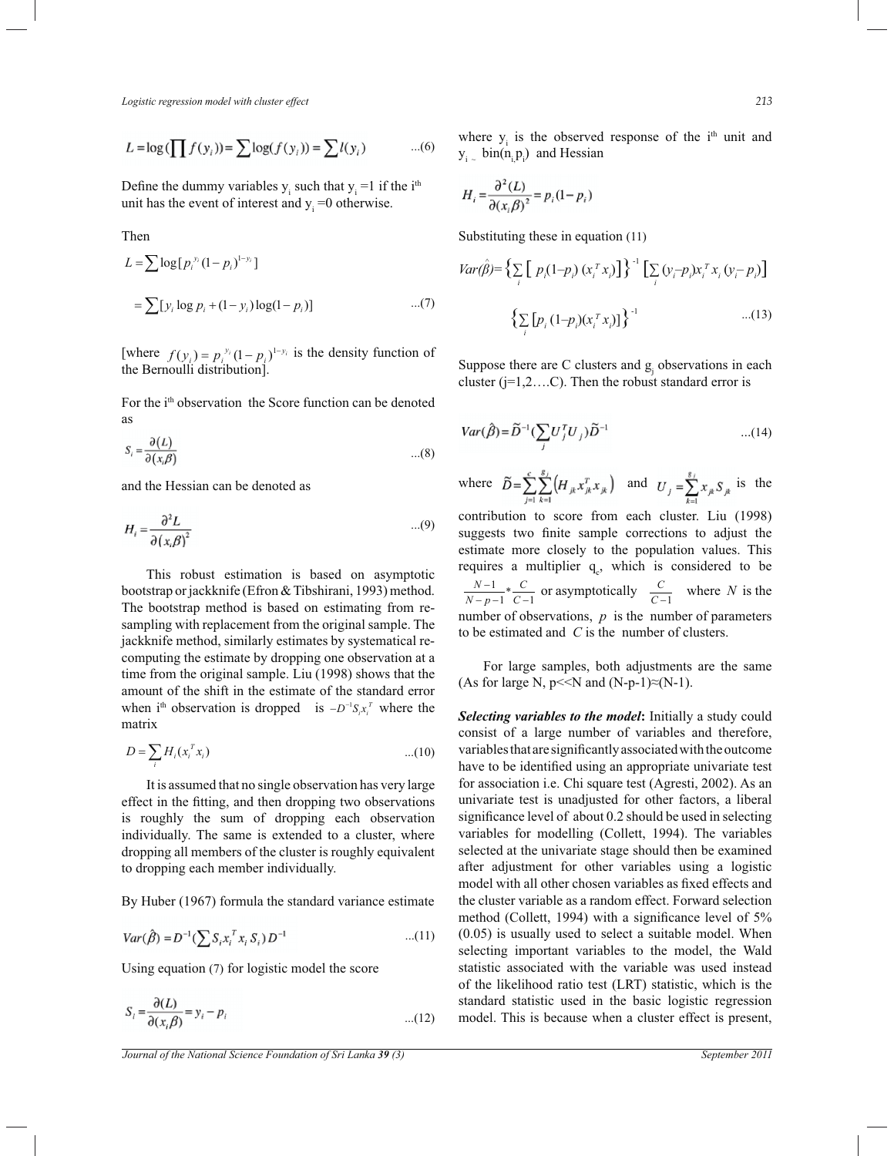Logistic regression model with cluster effect 213 *Ask with shortow offset* (2008) *Ael with cluster effect* 213  $\ddot{\phantom{0}}$ 

$$
L = \log\left(\prod f(y_i)\right) = \sum \log(f(y_i)) = \sum l(y_i) \quad ...(6)
$$

Define the dummy variables  $y_i$  such that  $y_i = 1$  if the i<sup>th</sup> bold the dammy variables  $y_i$  such that  $y_i$  = 1.1 a<br>unit has the event of interest and  $y_i$  = 0 otherwise.<br>Then Define the dummy variables  $y_i$  such that  $y_i = 1$  if the i<sup>th</sup> unit has the event of interest and  $y_i = 0$  otherwise.

Then  $\sum_{i=1}^{n}$  $\mathbf{en}$  $\mathbf{e}$  $\mathbf{r}$  $\mathbf{r}$ 

$$
L = \sum \log [p_i^{y_i} (1 - p_i)^{1 - y_i}]
$$
  
\n
$$
Var(\hat{\beta}) = \left\{ \sum_i [p_i (1 - p_i) (x_i^T x_i)] \right\}
$$
  
\n
$$
= \sum [y_i \log p_i + (1 - y_i) \log(1 - p_i)]
$$
  
\n...(7)  
\n
$$
\left\{ \sum [p_i (1 - p_i) (x_i^T x_i)] \right\}
$$

[where  $f(y_i) = p_{i,j}^{y_i} (1-p_i)^{1-y_i}$  is the density function of<br>Suppose there are C clusters at the Bernoulli distribution]. >

For the  $i<sup>th</sup>$  observation the Score function can be denoted , , as , , , For the i<sup>th</sup> observation the Score function can be denoted<br>as

$$
S_i = \frac{\partial (L)}{\partial (x_i \beta)}
$$
...(8)

and the Hessian can be denoted as and the company of the company of 10 March 2014 - San Francisco III (1980)

and the Hessian can be denoted as  
\n
$$
H_i = \frac{\partial^2 L}{\partial (x_i \beta)^2}
$$
\n...(9)

bootstrap or jackknife (Efron & Tibshirani, 1993) method.<br>The bootstrap method is based on estimating from retime from the original sample. Liu (1998) shows that the time from the original sample. Liu (1998) shows that the<br>amount of the shift in the estimate of the standard error This robust estimation is based on asymptotic requires a The bootstrap method is based on estimating from reand the original sample. The sampling with replacement from the original sample. The sampling with replacement from the original sample. The jackknife method, similarly estimates by systematical recomputing the estimate by dropping one observation at a when  $i^{th}$  observation is dropped is  $-D^{-1}S_{i}x_{i}^{T}$  where the<br>matrix matrix  $N-p \sum_{i=1}^{n} log(f(y_i)) = \sum_{i=1}^{n} I(y_i)$  ...(6) where y<sub>i</sub><br>
rables y<sub>i</sub> such that y<sub>i</sub> =1 if the i<sup>n</sup><br>
interest and y<sub>i</sub> =0 otherwise.<br>  $Var(f_i^2) = \frac{3}{2}$ <br>
Substitut<br>  $Var(f_i^2) = \frac{3}{2}$ <br>
Substitut<br>  $Var(f_i^2) = \frac{3}{2}$ <br>  $Var(f_i^2) = \frac{3}{2}$ <br>

$$
D = \sum_i H_i(x_i^T x_i) \tag{10}
$$

individually. The same is extended to a cluster, where individually. The same is extended to a cluster, where variables for<br>dropping all members of the cluster is roughly equivalent selected at the<br>dropping all members of the cluster is roughly equivalent  $\overline{a}^{\dagger}$  is assumed that no single observation has very large effect in the fitting, and then dropping two observations is roughly the sum of dropping each observation are proping and member individually. It is assumed that no single observation has very large  $\frac{1}{2}$  results are the cluster is roughly equivalent selected at the i.

By Huber (1967) formula the standard variance estimate By Huber (1967) formula the standard variance estimate

 5 ^ 5 <sup>V</sup> *-,*^  */ /*  B >>>>>>>> >>>>>>>>HHH^TT5 T T 5 ^ 5 <sup>V</sup> *-,*^  */ /*  B >>>>>>>> >>>>>>>>HHH^TT5 T T 5 ^ 5 <sup>V</sup> *-,*^  */ / \$* B >>>>>>>> >>>>>>>>HHH^TT5 T T 5 ^ 5 <sup>V</sup> *-,*^  */ / \$* B >>>>>>>> >>>>>>>>HHH^TT5 to dropping each member individually.By Huber (1967) formula the standard variance estimate ...(11) T T 5 ^ 5 <sup>V</sup> *-,*^  */ /*  B >>>>>>>> >>>>>>>>HHH^TT5 T T 5 ^ 5 <sup>V</sup> *-,*^  */ /*  B >>>>>>>> >>>>>>>>HHH^TT5 

Using equation (7) for logistic model the score

$$
S_i = \frac{\partial(L)}{\partial(x_i \beta)} = y_i - p_i
$$
  
standard st  
andard st  
model. This

Journal of the National Science Foundation of Sri Lanka 39 (3) September 2011 *8 8,',8'%8IH58 8 888888888888 8 8 8 018GCEE*  $\sum_{i=1}^{n}$ 

the contract of the contract of the contract of the contract of the contract of

the contract of the contract of the contract of the contract of the contract of the contract of the contract o

and the contract of the contract of the contract of the contract of the contract of the contract of the contract of

and the second contract of the second contract of the second contract of the second contract of the second con

and the state of the state of the state of the state of the state of the state of the state of the state of th

where  $y_i$  is the observed response of the i<sup>th</sup> unit and where  $y_i$  is the observed response of the  $i<sup>th</sup>$  unit and

$$
y_i = \frac{\partial^2(L)}{\partial (x_i \beta)^2} = p_i (1 - p_i)
$$
  

$$
H_i = \frac{\partial^2(L)}{\partial (x_i \beta)^2} = p_i (1 - p_i)
$$

Substituting these in equation (11)

,

$$
Var(\hat{\beta}) = \left\{ \sum_{i} \left[ p_i(1-p_i) (x_i^T x_i) \right] \right\}^{-1} \left[ \sum_{i} (y_i - p_i) x_i^T x_i (y_i - p_i) \right]
$$
  
...(7)  

$$
\left\{ \sum_{i} \left[ p_i (1-p_i) (x_i^T x_i) \right] \right\}^{-1}
$$
...(13)

Suppose there are C clusters and  $g_j$  observations in each cluster (j=1,2...C). Then the robust standard error is  $\frac{1}{\sqrt{2}}$ ,  $\frac{1}{\sqrt{2}}$ ,  $\frac{1}{\sqrt{2}}$ ,  $\frac{1}{\sqrt{2}}$ ,  $\frac{1}{\sqrt{2}}$ ,  $\frac{1}{\sqrt{2}}$ ,  $\frac{1}{\sqrt{2}}$ ,  $\frac{1}{\sqrt{2}}$ ,  $\frac{1}{\sqrt{2}}$ ,  $\frac{1}{\sqrt{2}}$ ,  $\frac{1}{\sqrt{2}}$ ,  $\frac{1}{\sqrt{2}}$ ,  $\frac{1}{\sqrt{2}}$ ,  $\frac{1}{\sqrt{2}}$ ,  $\frac{1}{\sqrt{2}}$ ,  $\frac{1}{\sqrt{2}}$ 

$$
Var(\hat{\beta}) = \tilde{D}^{-1} \left( \sum_{j} U_{j}^{T} U_{j} \right) \tilde{D}^{-1} \qquad \qquad \dots (14)
$$

contribution to score from each cluster. Liu (1998)  $\frac{1}{j=1}$   $\frac{1}{k=1}$  $\ldots$ (9) suggests two finite sample corrections to adjust the estimate more closely to the population values. This asymptotic requires a multiplier  $q_e$ , which is considered to be totically  $\overline{C-1}$  where *I* is the  $B = \frac{B}{2}$  b  $B = \frac{C}{2}$ denoted as where  $\tilde{D} = \sum_{k=1}^{n} \sum_{k=1}^{n} \left( H_{ik} x_{ik}^T x_{ik} \right)$  $\widetilde{D} = \sum_{k=1}^{S} \sum_{j=1}^{S} \left( H_{jk} x_{jk}^{T} x_{jk} \right)$  and  $U_{j} = \sum_{k=1}^{S} x_{jk} S_{jk}$  $\frac{1}{2}$  random contract of the systematical re-<br>systematical reenoted as where  $\widetilde{D} = \sum_{j=1}^{c} \sum_{k=1}^{s_j} \left( H_{jk} x_{jk}^T x_{jk} \right)$  and  $U_j = \sum_{k=1}^{s_j} x_{jk} S_{jk}$  is the  $\frac{-1}{n-1} * \frac{C}{C}$  $N-1$  $\frac{1}{N-n-1}$  $\overline{I}$  $\frac{N-1}{N-p-1}$  \*  $\frac{C}{C-1}$  or asymptotically  $\frac{C}{C-1}$  $\frac{C}{C-1}$  where *N* is the  $v-p-1$   $c-1$ <br>number of observations *n* is the number of parameters 3) method.  $\frac{N-1}{N-p-1} \cdot \frac{C}{C-1}$  or asymptotically  $\frac{C}{C-1}$  where N is the *#* 5  $\sum_{j=1}^N \left( H_{jk} x_{jk}^T x_{jk} \right)$ here  $\tilde{D} = \sum_{j=1}^{c} \sum_{k=1}^{s_j} \left( H_{jk} x_{jk}^T x_j \right)$  $\widetilde{D} = \sum_{j=1}^{c} \sum_{k=1}^{8} \left( H_{jk} x_{jk}^T x_{jk} \right)$  and  $U_j = \sum_{k=1}^{8}$ .  $U_j = \sum_{k=1}^{j} x_{jk} S_{jk}$ enoted as where  $\widetilde{D} = \sum_{i=1}^{c} \sum_{k=1}^{g_j} \left( H_{jk} x_{jk}^T x_{jk} \right)$  and  $U_j = \sum_{k=1}^{g_j} x_{jk} S_{jk}$  is the  $\frac{1}{x-1}$   $\ast$   $\frac{0}{x-1}$  $\mu - \mu - 1$ J nethod.  $\frac{1}{N-p-1} \sum_{C=1}^{N-p-1}$  or asymptotically  $\frac{C}{C-1}$  where N is the number of observations,  $p$  is the number of parameters  $\ldots$ (9) suggests two finite sample corrections to adjust the  $\sum_{N=1}^{\infty}$   $\sum_{n=1}^{\infty}$   $\sum_{n=1}^{\infty}$   $\sum_{n=1}^{\infty}$   $\sum_{n=1}^{\infty}$   $\sum_{n=1}^{\infty}$   $\sum_{n=1}^{\infty}$   $\sum_{n=1}^{\infty}$   $\sum_{n=1}^{\infty}$   $\sum_{n=1}^{\infty}$   $\sum_{n=1}^{\infty}$   $\sum_{n=1}^{\infty}$   $\sum_{n=1}^{\infty}$   $\sum_{n=1}^{\infty}$   $\sum_{n=1}^{\in$  $C-1$  $\therefore$   $\therefore$   $\therefore$   $\therefore$   $\therefore$   $\therefore$   $\therefore$   $\therefore$   $\therefore$   $\therefore$   $\therefore$   $\therefore$   $\therefore$   $\therefore$   $\therefore$   $\therefore$   $\therefore$   $\therefore$   $\therefore$   $\therefore$   $\therefore$   $\therefore$   $\therefore$   $\therefore$   $\therefore$   $\therefore$   $\therefore$   $\therefore$   $\therefore$   $\therefore$   $\therefore$   $\therefore$   $\therefore$   $\therefore$   $\therefore$   $\therefore$   $\therefore$  $C-1$ *#*  $\sum_{j=1}^{n} (H_{jk} x_{jk}^{T} x_{jk})$ here  $\tilde{D} = \sum_{i=1}^{c} \sum_{k=1}^{g_i} (H_{jk} x_{jk}^T x_{jk}^T)$  $\widetilde{\Theta} = \sum_{j=1}^{c} \sum_{k=1}^{g_j} \left( H_{jk} x_{jk}^T x_{jk} \right)$  and  $U_j = \sum_{k=1}^{g_j}$ .  $U_j = \sum_{k=1}^n x_{jk} S_{jk}$ is the  $\frac{-1}{2-1}$  \*  $\frac{C}{C-1}$  $\frac{N-1}{N}$   $\neq$   $\frac{C}{N}$  $N-p-1$  ( Ĩ.  $\frac{1}{C-p-1}$   $\neq$   $\frac{C}{C-1}$  or asymptotically  $\frac{C}{C-p-1}$  method.  $\frac{N-1}{N-p-1} \sum_{c=1}^{N}$  or asymptotically  $\frac{C}{C-1}$  where *N* is the  $j=1$   $k=1$ B B B B s B B B B B B  $C-1$  $\overline{C}$  and  $\overline{C}$  and  $\overline{C}$  and  $\overline{C}$  $C-1$ lenoted as where  $\widetilde{D} = \sum_{i=1}^{c} \sum_{k=1}^{g_j} \left( H_{jk} x_{jk}^T x_{jk} \right)$ *#*  $\sum_{i=1}^{N} (H_{jk} x_{jk}^{T} x_{jk})$ *n*  $\widetilde{D} = \sum_{i=1}^{c} \sum_{k=1}^{g} \left( H_{jk} x_{jk}^{T} x_{jk} \right)$  $\widetilde{D} = \sum_{i=1}^{c} \sum_{k=1}^{g_j} \left( H_{jk} x_{jk}^T x_{jk} \right)$  and  $U_j = \sum_{k=1}^{g_j}$  $U_{j} = \sum_{k=1}^{N} X_{jk} S_{jk}$ where  $\widetilde{D} = \sum_{j=1}^{n} \sum_{k=1}^{n} (H_{jk} x_{jk}^T x_{jk})$  and  $U_j = \sum_{k=1}^{n} x_{jk} S_{jk}$  is the contribution to score from each cluster. Liu (1998)  $\frac{-1}{p-1}*\frac{C}{C}$  $N-1$   $*$  $N-p-1$  ( l.  $\frac{N-1}{C-p-1}$  \*  $\frac{C}{C-1}$  or asymptotically  $\frac{C}{C-p-1}$  exercise  $\frac{N-1}{N-p-1}$   $\neq \frac{C}{C-1}$  or asymptotically  $\frac{C}{C-1}$  where *N* is the ogistic regression model with cluster offect<br>
L = log ( $\prod f(y_i)$ ) =  $\sum$  log ( $f(y_i)$ ) =  $\sum l(y_i)$  ...(6) where  $y_i$  is the observed response of the i<sup>2</sup> unit and<br>
Define the dummy variables  $y_i$  such that  $y_i = 1$  if the i<sup>3</sup>  $j=1$   $k=1$ symptotic  $N-1$   $C$   $C$  $C-1$  $\overline{C}$  $C-1$ enoted as where  $\widetilde{D} = \sum_{i=1}^{c} \sum_{j=1}^{g_j} \left( H_{jk} x_{jk}^T x_{jk} \right)$ *#*  $\sum_{j \in \mathcal{N}}^{\prime} \left( H_{jk} x_{jk}^T x_{jk} \right)$ here  $\widetilde{D} = \sum_{i=1}^{c} \sum_{i=1}^{g_j} \left( H_{jk} x_{jk}^T x_{jk} \right)$  $J = \sum_{i=1}^{c} \sum_{k=1}^{g_j} (H_{jk} x_{jk}^T x_{jk})$  and  $U_j = \sum_{i=1}^{g_j} x_{jk}^T y_{jk}$  $U_j = \sum_{k=1}^{N} X_{jk} S_{jk}$ s the  $rac{1}{-1}$  \*  $rac{C}{C-1}$  $N-1$   $\arrow$   $C$  $N-p-1$  C  $\overline{a}$  $\frac{N-1}{C-1}$   $\neq$   $\frac{C}{C-1}$  or asymptotically  $\frac{C}{C-1}$  $\overline{a}$ ethod.  $\frac{N-1}{N-p-1} \times \frac{C}{C-1}$  or asymptotically  $\frac{C}{C-1}$  where *N* is the ogistic regression model with cluster effect<br>  $L = \log(\prod f(y_i)) = \sum \log(f(y_i)) = \sum l(y_i)$  ...(6) where y<sub>i</sub> is the observed responding<br>
Define the dummy variables y<sub>i</sub> such that  $y_i = 1$  if the i<sup>th</sup><br>
int has the event of interest and  $y$  $j=1$   $k=1$ symptotic  $\frac{1}{N}$   $\frac{1}{N}$   $\frac{1}{N}$   $\frac{1}{N}$   $\frac{1}{N}$   $\frac{1}{N}$   $\frac{1}{N}$   $\frac{1}{N}$   $\frac{1}{N}$   $\frac{1}{N}$   $\frac{1}{N}$   $\frac{1}{N}$   $\frac{1}{N}$   $\frac{1}{N}$   $\frac{1}{N}$   $\frac{1}{N}$   $\frac{1}{N}$   $\frac{1}{N}$   $\frac{1}{N}$   $\frac{1}{N}$   $\frac{1}{N}$   $C-1$  where  $P$  is the  $\frac{1}{2}$  $C-1$  where it is the enoted as where  $\widetilde{D} = \sum_{k=1}^{c} \sum_{k=1}^{g} \left( H_{jk} x_{jk}^T x_{jk} \right)$  $\sum_{j=1}^{s_j} (H_{jk} x_{jk}^T x_{jk})$ here  $\widetilde{D} = \sum_{i=1}^{c} \sum_{j=1}^{g} \left( H_{jk} x_{jk}^T x_{jk} \right)$  $=\sum_{i=1}^{c}\sum_{i=1}^{g_j}\left(H_{jk}x_{jk}^T x_{jk}\right)$  and  $U_j=\sum_{i=1}^{g_j}x_{jk}$  $\sum_{j=1}^{s} x_{jk} S_{jk}$ s the  $rac{1}{-1}$  \*  $rac{C}{C-1}$  $N-1$  *C*  $N-p-1$  *C*  $\overline{a}$  $\frac{N-1}{C-1}$   $\neq$   $\frac{C}{C-1}$  or asymptotically  $\frac{C}{C-1}$   $\frac{N-1}{N-p-1}$  \*  $\frac{C}{C-1}$  or asymptotically  $\frac{C}{C-1}$  where *N* is the number of observations, *p* is the number of parameters to be estimated and *C* is the number of clusters.

> ws that the dard error (As for large N,  $p< and  $(N-p-1)\approx(N-1)$ ).$ servation at a<br>hows that the For large samples, both adjustments are the same For large samples, both adjustments are the same For large samples, both adjustments are the same For large samples, both adjustments are the same

... $(10)$  variables that are significantly associated with the outcome  $\lim_{i}$  have to be identified using an appropriate univariate test standard statistic used in the basic logistic regression  $\mathbf{m}$ where the **Selecting variables to the model:** Initially a study could consist of a large number of variables and therefore, for association i.e. Chi square test (Agresti, 2002). As an univariate test is unadjusted for other factors, a liberal significance level of about 0.2 should be used in selecting variables for modelling (Collett, 1994). The variables<br>selected at the univariate stage should then be examined selected at the univariate stage should then be examined after adjustment for other variables using a logistic model with all other chosen variables as fixed effects and the cluster variable as a random effect. Forward selection method (Collett, 1994) with a significance level of 5% ...(11) (0.05) is usually used to select a suitable model. When selecting important variables to the model, the Wald selecting important variables to the model, the Wald statistic associated with the variable was used instead statistic associated with the variable was used instead<br>of the likelihood ratio test (LRT) statistic, which is the standard statistic used in the basic logistic regression<br>...(12) model. This is because when a cluster effect is present, have to be ruled where the **Selecting variables to the model:** Initially a study could *B* and the interime ynable is, you in the signal state that is a specific the content of the signal state is a specific of the signal state is a specific of the signal state is a specific of the signal state is a specifi  $\sim$   $\sim$   $\sim$ i.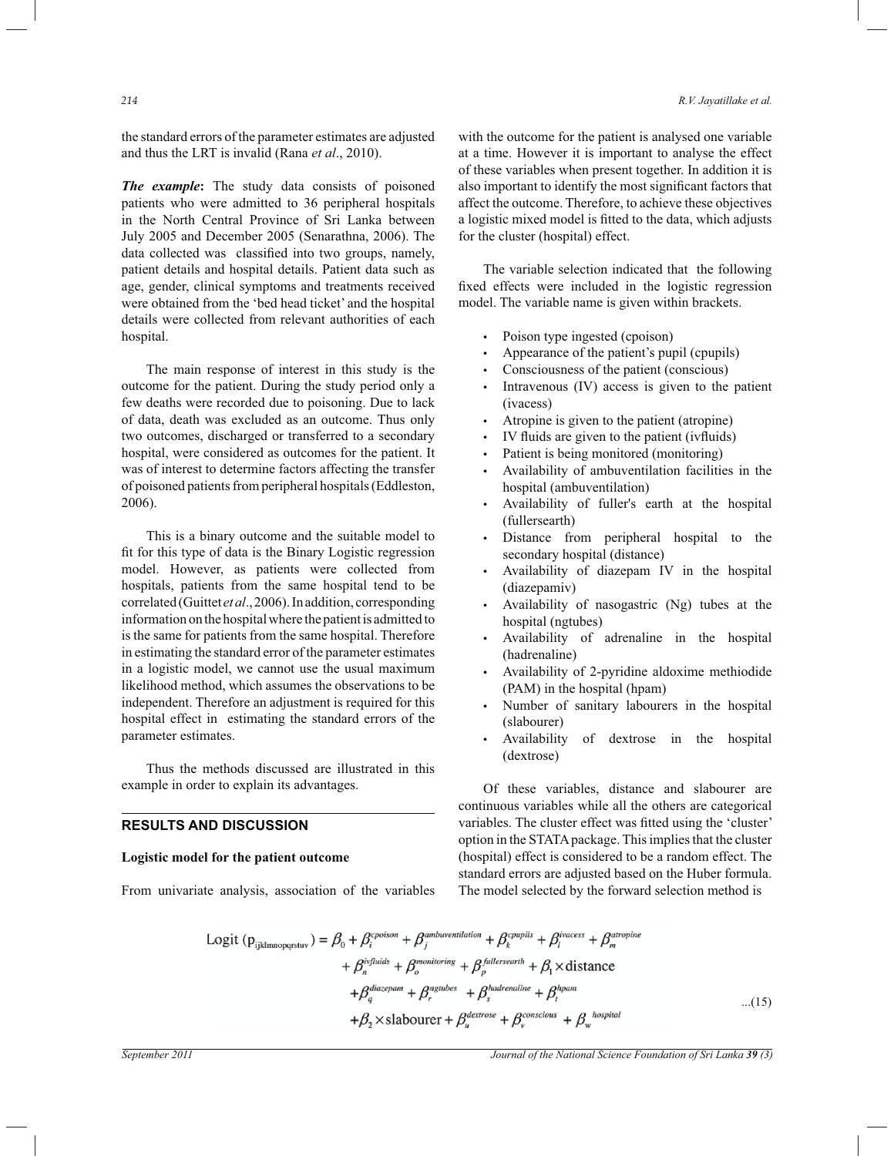the standard errors of the parameter estimates are adjusted and thus the LRT is invalid (Rana *et al*., 2010).

*The example***:** The study data consists of poisoned patients who were admitted to 36 peripheral hospitals in the North Central Province of Sri Lanka between July 2005 and December 2005 (Senarathna, 2006). The data collected was classified into two groups, namely, patient details and hospital details. Patient data such as age, gender, clinical symptoms and treatments received were obtained from the 'bed head ticket' and the hospital details were collected from relevant authorities of each hospital.

 The main response of interest in this study is the outcome for the patient. During the study period only a few deaths were recorded due to poisoning. Due to lack of data, death was excluded as an outcome. Thus only two outcomes, discharged or transferred to a secondary hospital, were considered as outcomes for the patient. It was of interest to determine factors affecting the transfer of poisoned patients from peripheral hospitals (Eddleston, 2006).

 This is a binary outcome and the suitable model to fit for this type of data is the Binary Logistic regression model. However, as patients were collected from hospitals, patients from the same hospital tend to be correlated (Guittet *et al*., 2006). In addition, corresponding information on the hospital where the patient is admitted to is the same for patients from the same hospital. Therefore in estimating the standard error of the parameter estimates in a logistic model, we cannot use the usual maximum likelihood method, which assumes the observations to be independent. Therefore an adjustment is required for this hospital effect in estimating the standard errors of the parameter estimates.

 Thus the methods discussed are illustrated in this example in order to explain its advantages.

## **RESULTS AND DISCUSSION**

## **Logistic model for the patient outcome**

From univariate analysis, association of the variables

with the outcome for the patient is analysed one variable at a time. However it is important to analyse the effect of these variables when present together. In addition it is also important to identify the most significant factors that affect the outcome. Therefore, to achieve these objectives a logistic mixed model is fitted to the data, which adjusts for the cluster (hospital) effect.

 The variable selection indicated that the following fixed effects were included in the logistic regression model. The variable name is given within brackets.

- Poison type ingested (cpoison)
- Appearance of the patient's pupil (cpupils)
- Consciousness of the patient (conscious)
- $\cdot$  Intravenous (IV) access is given to the patient (ivacess)
- Atropine is given to the patient (atropine)
- IV fluids are given to the patient (ivfluids)
- Patient is being monitored (monitoring)
- Availability of ambuventilation facilities in the hospital (ambuventilation)
- Availability of fuller's earth at the hospital (fullersearth)
- Distance from peripheral hospital to the secondary hospital (distance)
- t Availability of diazepam IV in the hospital (diazepamiv)
- Availability of nasogastric  $(Ng)$  tubes at the hospital (ngtubes)
- Availability of adrenaline in the hospital (hadrenaline)
- Availability of 2-pyridine aldoxime methiodide (PAM) in the hospital (hpam)
- Number of sanitary labourers in the hospital (slabourer)
- Availability of dextrose in the hospital (dextrose)

 Of these variables, distance and slabourer are continuous variables while all the others are categorical variables. The cluster effect was fitted using the 'cluster' option in the STATA package. This implies that the cluster (hospital) effect is considered to be a random effect. The standard errors are adjusted based on the Huber formula. The model selected by the forward selection method is

Logit 
$$
(p_{ijklmnopqstuv}) = \beta_0 + \beta_i^{epoison} + \beta_j^{ambuvenilation} + \beta_k^{peupils} + \beta_i^{ivacess} + \beta_m^{atropine}
$$
  
+  $\beta_n^{ivfluids} + \beta_o^{monitoring} + \beta_p^{fullresearth} + \beta_1 \times \text{distance}$   
+  $\beta_q^{diacepam} + \beta_r^{ngtubes} + \beta_s^{hadrenaline} + \beta_t^{hpan}$   
+  $\beta_2 \times \text{slabourer} + \beta_u^{detrose} + \beta_v^{consious} + \beta_w^{hospital}$ ...(15)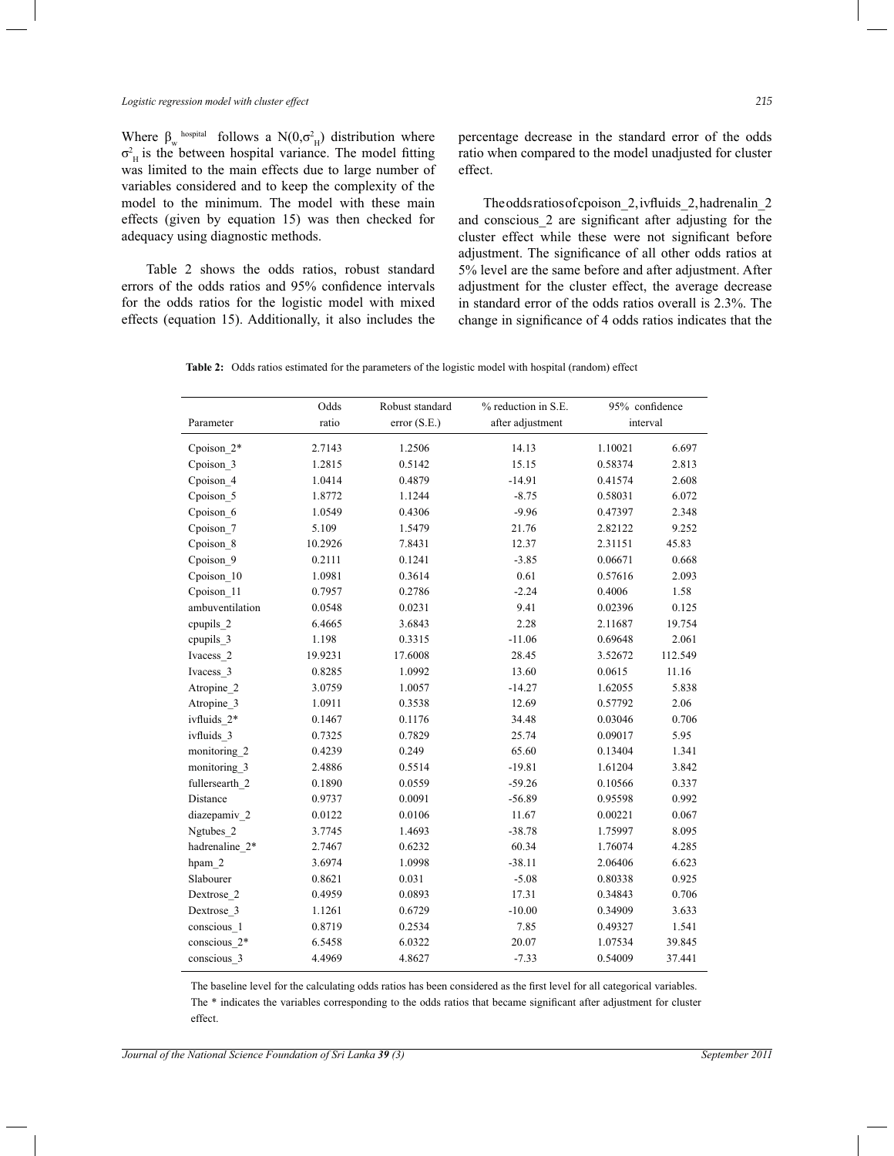Where  $\beta_{\rm w}$ <sup>hospital</sup> follows a N(0, $\sigma_{\rm H}^2$ ) distribution where  $\sigma^2$ <sub>H</sub> is the between hospital variance. The model fitting was limited to the main effects due to large number of variables considered and to keep the complexity of the model to the minimum. The model with these main effects (given by equation 15) was then checked for adequacy using diagnostic methods.

 Table 2 shows the odds ratios, robust standard errors of the odds ratios and 95% confidence intervals for the odds ratios for the logistic model with mixed effects (equation 15). Additionally, it also includes the

percentage decrease in the standard error of the odds ratio when compared to the model unadjusted for cluster effect.

The odds ratios of cpoison 2, ivfluids 2, hadrenal in 2 and conscious\_2 are significant after adjusting for the cluster effect while these were not significant before adjustment. The significance of all other odds ratios at 5% level are the same before and after adjustment. After adjustment for the cluster effect, the average decrease in standard error of the odds ratios overall is 2.3%. The change in significance of 4 odds ratios indicates that the

**Table 2:** Odds ratios estimated for the parameters of the logistic model with hospital (random) effect

|                      | Odds    | Robust standard | % reduction in S.E. | 95% confidence |         |
|----------------------|---------|-----------------|---------------------|----------------|---------|
| Parameter            | ratio   | error(S.E.)     | after adjustment    | interval       |         |
| Cpoison $2*$         | 2.7143  | 1.2506          | 14.13               | 1.10021        | 6.697   |
| Cpoison 3            | 1.2815  | 0.5142          | 15.15               | 0.58374        | 2.813   |
| Cpoison 4            | 1.0414  | 0.4879          | $-14.91$            | 0.41574        | 2.608   |
| Cpoison 5            | 1.8772  | 1.1244          | $-8.75$             | 0.58031        | 6.072   |
| Cpoison 6            | 1.0549  | 0.4306          | $-9.96$             | 0.47397        | 2.348   |
| Cpoison_7            | 5.109   | 1.5479          | 21.76               | 2.82122        | 9.252   |
| Cpoison 8            | 10.2926 | 7.8431          | 12.37               | 2.31151        | 45.83   |
| Cpoison 9            | 0.2111  | 0.1241          | $-3.85$             | 0.06671        | 0.668   |
| Cpoison 10           | 1.0981  | 0.3614          | 0.61                | 0.57616        | 2.093   |
| Cpoison 11           | 0.7957  | 0.2786          | $-2.24$             | 0.4006         | 1.58    |
| ambuventilation      | 0.0548  | 0.0231          | 9.41                | 0.02396        | 0.125   |
| cpupils_2            | 6.4665  | 3.6843          | 2.28                | 2.11687        | 19.754  |
| cpupils 3            | 1.198   | 0.3315          | $-11.06$            | 0.69648        | 2.061   |
| Ivacess <sub>2</sub> | 19.9231 | 17.6008         | 28.45               | 3.52672        | 112.549 |
| Ivacess 3            | 0.8285  | 1.0992          | 13.60               | 0.0615         | 11.16   |
| Atropine_2           | 3.0759  | 1.0057          | $-14.27$            | 1.62055        | 5.838   |
| Atropine 3           | 1.0911  | 0.3538          | 12.69               | 0.57792        | 2.06    |
| ivfluids 2*          | 0.1467  | 0.1176          | 34.48               | 0.03046        | 0.706   |
| ivfluids 3           | 0.7325  | 0.7829          | 25.74               | 0.09017        | 5.95    |
| monitoring_2         | 0.4239  | 0.249           | 65.60               | 0.13404        | 1.341   |
| monitoring 3         | 2.4886  | 0.5514          | $-19.81$            | 1.61204        | 3.842   |
| fullersearth 2       | 0.1890  | 0.0559          | $-59.26$            | 0.10566        | 0.337   |
| Distance             | 0.9737  | 0.0091          | $-56.89$            | 0.95598        | 0.992   |
| diazepamiv 2         | 0.0122  | 0.0106          | 11.67               | 0.00221        | 0.067   |
| Ngtubes <sub>2</sub> | 3.7745  | 1.4693          | $-38.78$            | 1.75997        | 8.095   |
| hadrenaline 2*       | 2.7467  | 0.6232          | 60.34               | 1.76074        | 4.285   |
| hpam 2               | 3.6974  | 1.0998          | $-38.11$            | 2.06406        | 6.623   |
| Slabourer            | 0.8621  | 0.031           | $-5.08$             | 0.80338        | 0.925   |
| Dextrose 2           | 0.4959  | 0.0893          | 17.31               | 0.34843        | 0.706   |
| Dextrose 3           | 1.1261  | 0.6729          | $-10.00$            | 0.34909        | 3.633   |
| conscious 1          | 0.8719  | 0.2534          | 7.85                | 0.49327        | 1.541   |
| conscious 2*         | 6.5458  | 6.0322          | 20.07               | 1.07534        | 39.845  |
| conscious 3          | 4.4969  | 4.8627          | $-7.33$             | 0.54009        | 37.441  |

The baseline level for the calculating odds ratios has been considered as the first level for all categorical variables. The \* indicates the variables corresponding to the odds ratios that became significant after adjustment for cluster effect.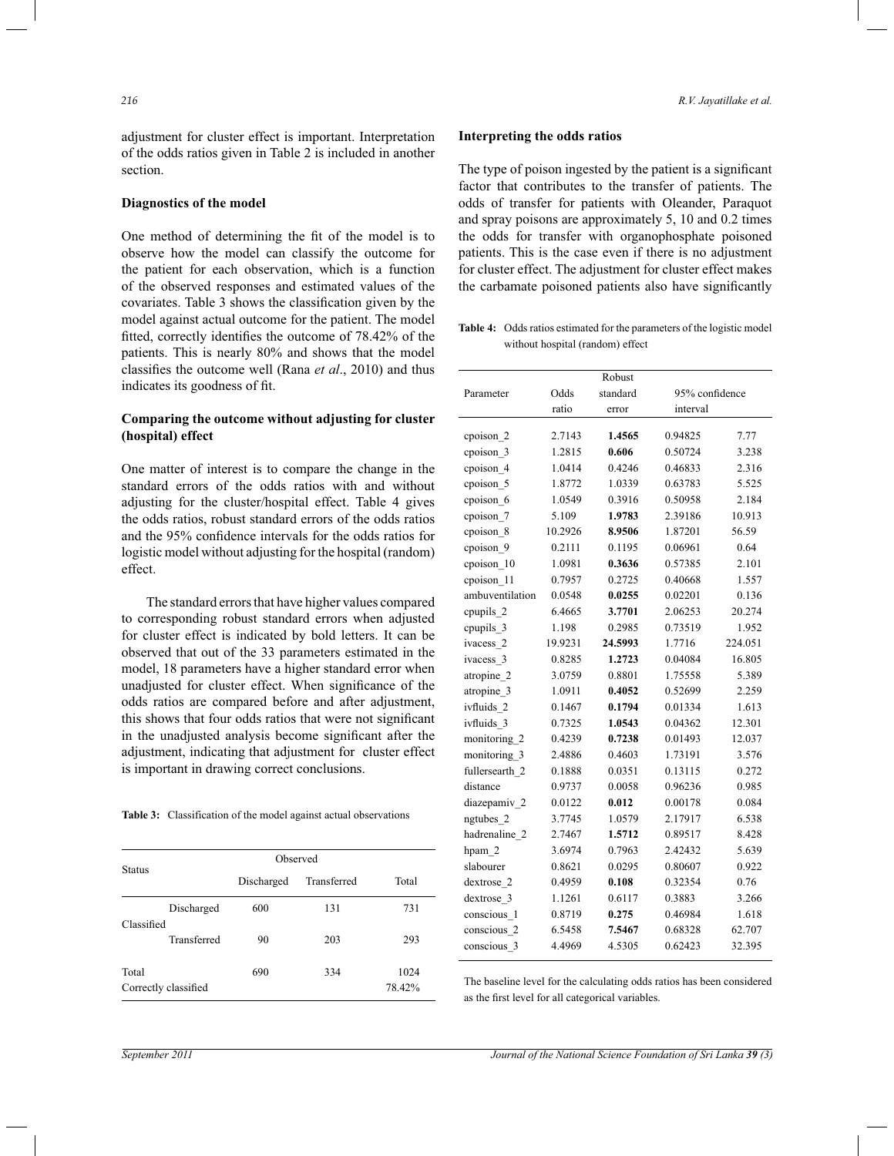adjustment for cluster effect is important. Interpretation of the odds ratios given in Table 2 is included in another section.

#### **Diagnostics of the model**

One method of determining the fit of the model is to observe how the model can classify the outcome for the patient for each observation, which is a function of the observed responses and estimated values of the covariates. Table 3 shows the classification given by the model against actual outcome for the patient. The model fitted, correctly identifies the outcome of 78.42% of the patients. This is nearly 80% and shows that the model classifies the outcome well (Rana *et al*., 2010) and thus indicates its goodness of fit.

## **Comparing the outcome without adjusting for cluster (hospital) effect**

One matter of interest is to compare the change in the standard errors of the odds ratios with and without adjusting for the cluster/hospital effect. Table 4 gives the odds ratios, robust standard errors of the odds ratios and the 95% confidence intervals for the odds ratios for logistic model without adjusting for the hospital (random) effect.

 The standard errors that have higher values compared to corresponding robust standard errors when adjusted for cluster effect is indicated by bold letters. It can be observed that out of the 33 parameters estimated in the model, 18 parameters have a higher standard error when unadjusted for cluster effect. When significance of the odds ratios are compared before and after adjustment, this shows that four odds ratios that were not significant in the unadjusted analysis become significant after the adjustment, indicating that adjustment for cluster effect is important in drawing correct conclusions.

**Table 3:** Classification of the model against actual observations

|            |                      | Observed   |             |                |
|------------|----------------------|------------|-------------|----------------|
| Status     |                      | Discharged | Transferred | Total          |
|            | Discharged           | 600        | 131         | 731            |
| Classified | Transferred          | 90         | 203         | 293            |
| Total      | Correctly classified | 690        | 334         | 1024<br>78.42% |

#### **Interpreting the odds ratios**

The type of poison ingested by the patient is a significant factor that contributes to the transfer of patients. The odds of transfer for patients with Oleander, Paraquot and spray poisons are approximately 5, 10 and 0.2 times the odds for transfer with organophosphate poisoned patients. This is the case even if there is no adjustment for cluster effect. The adjustment for cluster effect makes the carbamate poisoned patients also have significantly

**Table 4:** Odds ratios estimated for the parameters of the logistic model without hospital (random) effect

| standard<br>95% confidence<br>Parameter<br>Odds<br>ratio<br>interval<br>error<br>2.7143<br>1.4565<br>0.94825<br>7.77<br>cpoison 2<br>cpoison 3<br>1.2815<br>0.606<br>0.50724<br>3.238<br>cpoison 4<br>1.0414<br>0.4246<br>0.46833<br>2.316<br>cpoison 5<br>1.0339<br>0.63783<br>5.525<br>1.8772<br>cpoison 6<br>1.0549<br>0.3916<br>0.50958<br>2.184 |  |
|------------------------------------------------------------------------------------------------------------------------------------------------------------------------------------------------------------------------------------------------------------------------------------------------------------------------------------------------------|--|
|                                                                                                                                                                                                                                                                                                                                                      |  |
|                                                                                                                                                                                                                                                                                                                                                      |  |
|                                                                                                                                                                                                                                                                                                                                                      |  |
|                                                                                                                                                                                                                                                                                                                                                      |  |
|                                                                                                                                                                                                                                                                                                                                                      |  |
|                                                                                                                                                                                                                                                                                                                                                      |  |
|                                                                                                                                                                                                                                                                                                                                                      |  |
|                                                                                                                                                                                                                                                                                                                                                      |  |
| cpoison 7<br>5.109<br>1.9783<br>2.39186<br>10.913                                                                                                                                                                                                                                                                                                    |  |
| cpoison 8<br>8.9506<br>10.2926<br>1.87201<br>56.59                                                                                                                                                                                                                                                                                                   |  |
| cpoison 9<br>0.2111<br>0.1195<br>0.06961<br>0.64                                                                                                                                                                                                                                                                                                     |  |
| cpoison 10<br>1.0981<br>0.3636<br>2.101<br>0.57385                                                                                                                                                                                                                                                                                                   |  |
| cpoison 11<br>0.7957<br>0.2725<br>0.40668<br>1.557                                                                                                                                                                                                                                                                                                   |  |
| ambuventilation<br>0.0548<br>0.0255<br>0.02201<br>0.136                                                                                                                                                                                                                                                                                              |  |
| cpupils 2<br>6.4665<br>3.7701<br>2.06253<br>20.274                                                                                                                                                                                                                                                                                                   |  |
| 0.2985<br>0.73519<br>1.952<br>cpupils 3<br>1.198                                                                                                                                                                                                                                                                                                     |  |
| 24.5993<br>1.7716<br>224.051<br>ivacess <sub>2</sub><br>19.9231                                                                                                                                                                                                                                                                                      |  |
| 0.8285<br>ivacess 3<br>1.2723<br>0.04084<br>16.805                                                                                                                                                                                                                                                                                                   |  |
| atropine 2<br>3.0759<br>0.8801<br>1.75558<br>5.389                                                                                                                                                                                                                                                                                                   |  |
| atropine 3<br>1.0911<br>0.4052<br>0.52699<br>2.259                                                                                                                                                                                                                                                                                                   |  |
| ivfluids 2<br>0.1467<br>0.1794<br>0.01334<br>1.613                                                                                                                                                                                                                                                                                                   |  |
| ivfluids 3<br>0.7325<br>1.0543<br>0.04362<br>12.301                                                                                                                                                                                                                                                                                                  |  |
| 0.4239<br>0.7238<br>0.01493<br>monitoring 2<br>12.037                                                                                                                                                                                                                                                                                                |  |
| 0.4603<br>monitoring 3<br>2.4886<br>1.73191<br>3.576                                                                                                                                                                                                                                                                                                 |  |
| fullersearth 2<br>0.1888<br>0.0351<br>0.13115<br>0.272                                                                                                                                                                                                                                                                                               |  |
| 0.0058<br>0.96236<br>distance<br>0.9737<br>0.985                                                                                                                                                                                                                                                                                                     |  |
| 0.00178<br>diazepamiv 2<br>0.0122<br>0.012<br>0.084                                                                                                                                                                                                                                                                                                  |  |
| 2.17917<br>ngtubes 2<br>3.7745<br>1.0579<br>6.538                                                                                                                                                                                                                                                                                                    |  |
| hadrenaline 2<br>2.7467<br>1.5712<br>0.89517<br>8.428                                                                                                                                                                                                                                                                                                |  |
| 3.6974<br>0.7963<br>5.639<br>hpam 2<br>2.42432                                                                                                                                                                                                                                                                                                       |  |
| 0.80607<br>slabourer<br>0.8621<br>0.0295<br>0.922                                                                                                                                                                                                                                                                                                    |  |
| 0.4959<br>0.76<br>0.108<br>0.32354<br>dextrose 2                                                                                                                                                                                                                                                                                                     |  |
| dextrose 3<br>1.1261<br>0.6117<br>0.3883<br>3.266                                                                                                                                                                                                                                                                                                    |  |
| conscious 1<br>0.8719<br>0.46984<br>1.618<br>0.275                                                                                                                                                                                                                                                                                                   |  |
| conscious <sub>2</sub><br>62.707<br>6.5458<br>7.5467<br>0.68328                                                                                                                                                                                                                                                                                      |  |
| 4.4969<br>4.5305<br>0.62423<br>32.395<br>conscious 3                                                                                                                                                                                                                                                                                                 |  |

The baseline level for the calculating odds ratios has been considered as the first level for all categorical variables.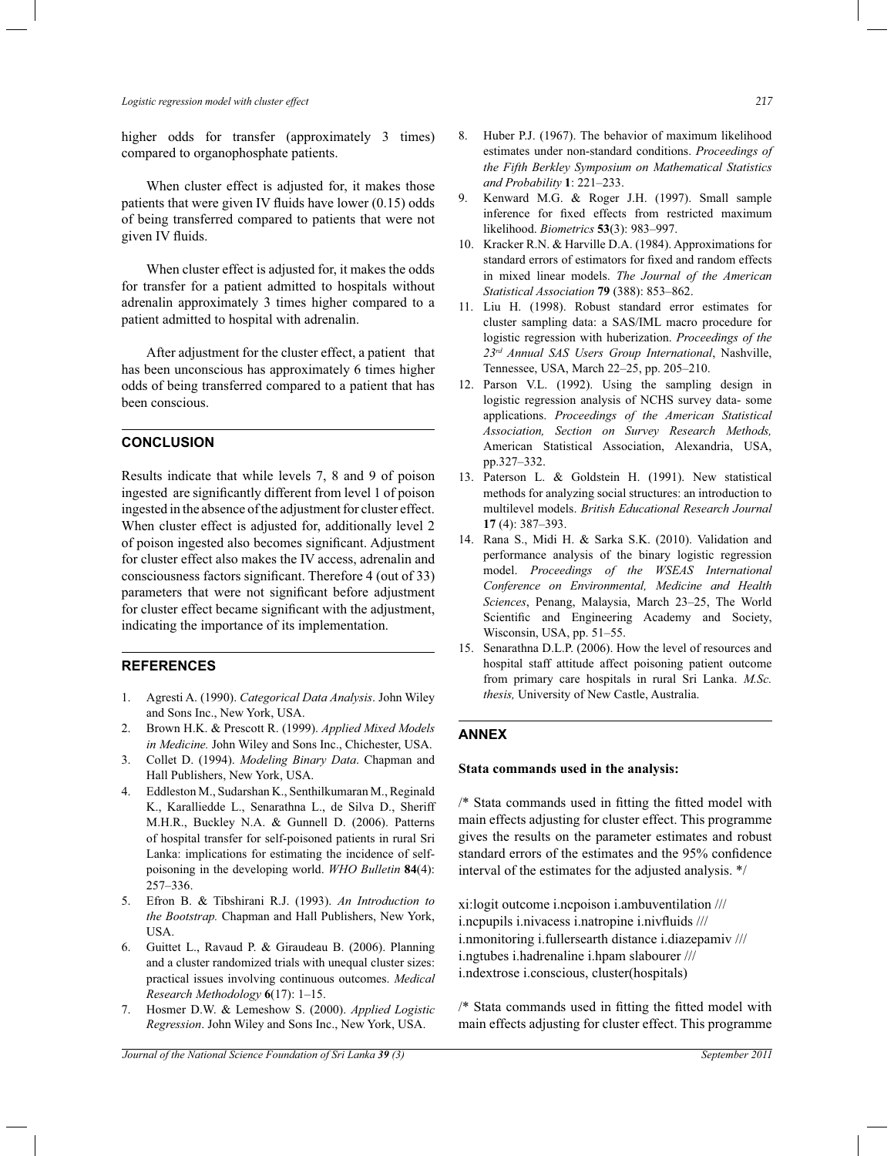higher odds for transfer (approximately 3 times) compared to organophosphate patients.

 When cluster effect is adjusted for, it makes those patients that were given IV fluids have lower (0.15) odds of being transferred compared to patients that were not given IV fluids.

 When cluster effect is adjusted for, it makes the odds for transfer for a patient admitted to hospitals without adrenalin approximately 3 times higher compared to a patient admitted to hospital with adrenalin.

 After adjustment for the cluster effect, a patient that has been unconscious has approximately 6 times higher odds of being transferred compared to a patient that has been conscious.

# **CONCLUSION**

Results indicate that while levels 7, 8 and 9 of poison ingested are significantly different from level 1 of poison ingested in the absence of the adjustment for cluster effect. When cluster effect is adjusted for, additionally level 2 of poison ingested also becomes significant. Adjustment for cluster effect also makes the IV access, adrenalin and consciousness factors significant. Therefore 4 (out of 33) parameters that were not significant before adjustment for cluster effect became significant with the adjustment, indicating the importance of its implementation.

# **REFERENCES**

- 1. Agresti A. (1990). *Categorical Data Analysis*. John Wiley and Sons Inc., New York, USA.
- 2. Brown H.K. & Prescott R. (1999). *Applied Mixed Models in Medicine.* John Wiley and Sons Inc., Chichester, USA.
- 3. Collet D. (1994). *Modeling Binary Data*. Chapman and Hall Publishers, New York, USA.
- 4. Eddleston M., Sudarshan K., Senthilkumaran M., Reginald K., Karalliedde L., Senarathna L., de Silva D., Sheriff M.H.R., Buckley N.A. & Gunnell D. (2006). Patterns of hospital transfer for self-poisoned patients in rural Sri Lanka: implications for estimating the incidence of selfpoisoning in the developing world. *WHO Bulletin* **84**(4): 257–336.
- 5. Efron B. & Tibshirani R.J. (1993). *An Introduction to the Bootstrap.* Chapman and Hall Publishers, New York, USA.
- 6. Guittet L., Ravaud P. & Giraudeau B. (2006). Planning and a cluster randomized trials with unequal cluster sizes: practical issues involving continuous outcomes. *Medical Research Methodology* **6**(17): 1–15.
- 7. Hosmer D.W. & Lemeshow S. (2000). *Applied Logistic Regression*. John Wiley and Sons Inc., New York, USA.
- 8. Huber P.J. (1967). The behavior of maximum likelihood estimates under non-standard conditions. *Proceedings of the Fifth Berkley Symposium on Mathematical Statistics and Probability* **1**: 221–233.
- 9. Kenward M.G. & Roger J.H. (1997). Small sample inference for fixed effects from restricted maximum likelihood. *Biometrics* **53**(3): 983–997.
- 10. Kracker R.N. & Harville D.A. (1984). Approximations for standard errors of estimators for fixed and random effects in mixed linear models. *The Journal of the American Statistical Association* **79** (388): 853–862.
- 11. Liu H. (1998). Robust standard error estimates for cluster sampling data: a SAS/IML macro procedure for logistic regression with huberization. *Proceedings of the 23rd Annual SAS Users Group International*, Nashville, Tennessee, USA, March 22–25, pp. 205–210.
- 12. Parson V.L. (1992). Using the sampling design in logistic regression analysis of NCHS survey data- some applications. *Proceedings of the American Statistical Association, Section on Survey Research Methods,* American Statistical Association, Alexandria, USA, pp.327–332.
- 13. Paterson L. & Goldstein H. (1991). New statistical methods for analyzing social structures: an introduction to multilevel models. *British Educational Research Journal* **17** (4): 387–393.
- 14. Rana S., Midi H. & Sarka S.K. (2010). Validation and performance analysis of the binary logistic regression model. *Proceedings of the WSEAS International Conference on Environmental, Medicine and Health Sciences*, Penang, Malaysia, March 23–25, The World Scientific and Engineering Academy and Society, Wisconsin, USA, pp. 51–55.
- 15. Senarathna D.L.P. (2006). How the level of resources and hospital staff attitude affect poisoning patient outcome from primary care hospitals in rural Sri Lanka. *M.Sc. thesis,* University of New Castle, Australia.

# **ANNEX**

## **Stata commands used in the analysis:**

/\* Stata commands used in fitting the fitted model with main effects adjusting for cluster effect. This programme gives the results on the parameter estimates and robust standard errors of the estimates and the 95% confidence interval of the estimates for the adjusted analysis. \*/

xi:logit outcome i.ncpoison i.ambuventilation /// i.ncpupils i.nivacess i.natropine i.nivfluids /// i.nmonitoring i.fullersearth distance i.diazepamiv /// i.ngtubes i.hadrenaline i.hpam slabourer /// i.ndextrose i.conscious, cluster(hospitals)

/\* Stata commands used in fitting the fitted model with main effects adjusting for cluster effect. This programme